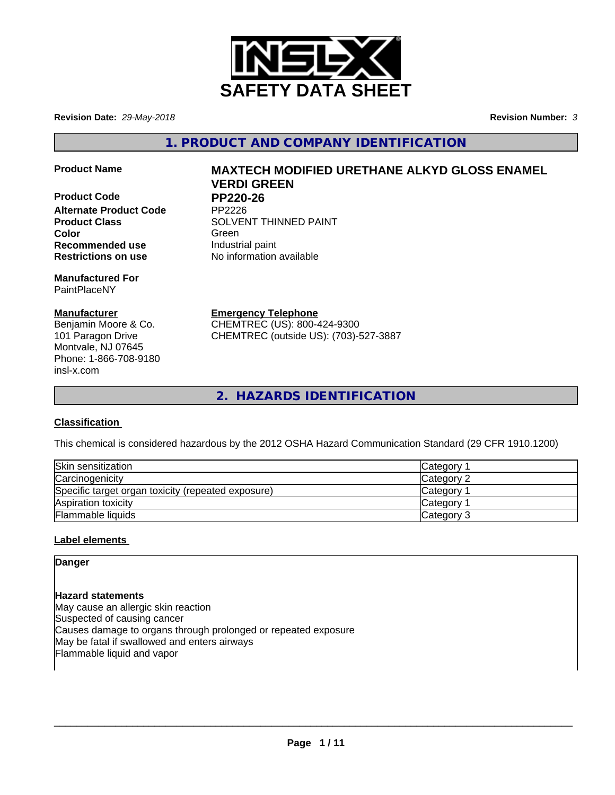

**Revision Date:** *29-May-2018* **Revision Number:** *3*

**1. PRODUCT AND COMPANY IDENTIFICATION**

**Product Code PP220-26**<br>Alternate Product Code PP2226 **Alternate Product Code Recommended use Industrial paint** 

**Manufactured For** PaintPlaceNY

# **Manufacturer**

Benjamin Moore & Co. 101 Paragon Drive Montvale, NJ 07645 Phone: 1-866-708-9180 insl-x.com

# **Product Name MAXTECH MODIFIED URETHANE ALKYD GLOSS ENAMEL VERDI GREEN**

**Product Class SOLVENT THINNED PAINT Color** Green **Green** Green **Green Restrictions on use** No information available

**Emergency Telephone**

CHEMTREC (US): 800-424-9300 CHEMTREC (outside US): (703)-527-3887

**2. HAZARDS IDENTIFICATION**

# **Classification**

This chemical is considered hazardous by the 2012 OSHA Hazard Communication Standard (29 CFR 1910.1200)

| Skin sensitization                                 | Category        |
|----------------------------------------------------|-----------------|
| Carcinogenicity                                    | Category 2      |
| Specific target organ toxicity (repeated exposure) | <b>Category</b> |
| Aspiration toxicity                                | <b>Category</b> |
| Flammable liquids                                  | Category 3      |

# **Label elements**

**Danger**

**Hazard statements** May cause an allergic skin reaction Suspected of causing cancer Causes damage to organs through prolonged or repeated exposure May be fatal if swallowed and enters airways Flammable liquid and vapor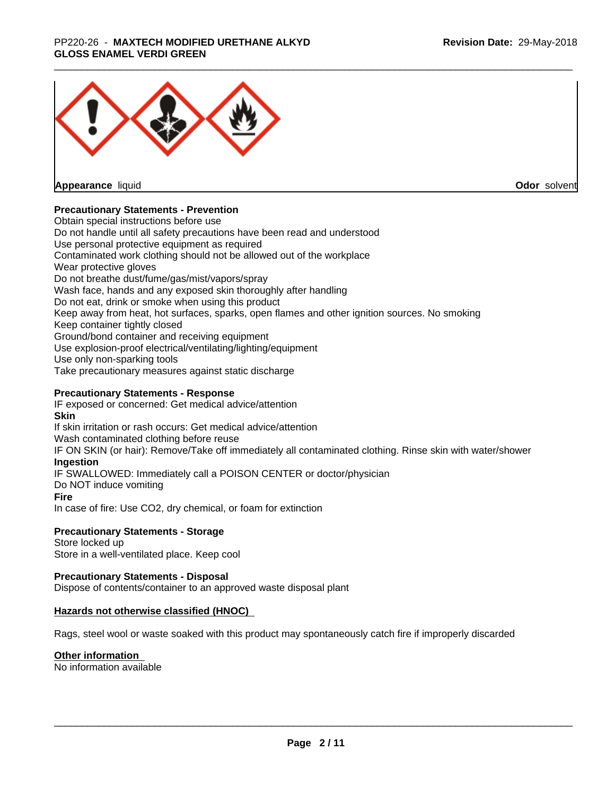## \_\_\_\_\_\_\_\_\_\_\_\_\_\_\_\_\_\_\_\_\_\_\_\_\_\_\_\_\_\_\_\_\_\_\_\_\_\_\_\_\_\_\_\_\_\_\_\_\_\_\_\_\_\_\_\_\_\_\_\_\_\_\_\_\_\_\_\_\_\_\_\_\_\_\_\_\_\_\_\_\_\_\_\_\_\_\_\_\_\_\_\_\_ PP220-26 - **MAXTECH MODIFIED URETHANE ALKYD GLOSS ENAMEL VERDI GREEN**



**Appearance** liquid

**Odor** solvent

# **Precautionary Statements - Prevention**

Obtain special instructions before use Do not handle until all safety precautions have been read and understood Use personal protective equipment as required Contaminated work clothing should not be allowed out of the workplace Wear protective gloves Do not breathe dust/fume/gas/mist/vapors/spray Wash face, hands and any exposed skin thoroughly after handling Do not eat, drink or smoke when using this product Keep away from heat, hot surfaces, sparks, open flames and other ignition sources. No smoking Keep container tightly closed Ground/bond container and receiving equipment Use explosion-proof electrical/ventilating/lighting/equipment Use only non-sparking tools Take precautionary measures against static discharge

# **Precautionary Statements - Response**

IF exposed or concerned: Get medical advice/attention **Skin** If skin irritation or rash occurs: Get medical advice/attention Wash contaminated clothing before reuse IF ON SKIN (or hair): Remove/Take off immediately all contaminated clothing. Rinse skin with water/shower **Ingestion** IF SWALLOWED: Immediately call a POISON CENTER or doctor/physician Do NOT induce vomiting **Fire** In case of fire: Use CO2, dry chemical, or foam for extinction

# **Precautionary Statements - Storage**

Store locked up Store in a well-ventilated place. Keep cool

# **Precautionary Statements - Disposal**

Dispose of contents/container to an approved waste disposal plant

# **Hazards not otherwise classified (HNOC)**

Rags, steel wool or waste soaked with this product may spontaneously catch fire if improperly discarded

# **Other information**

No information available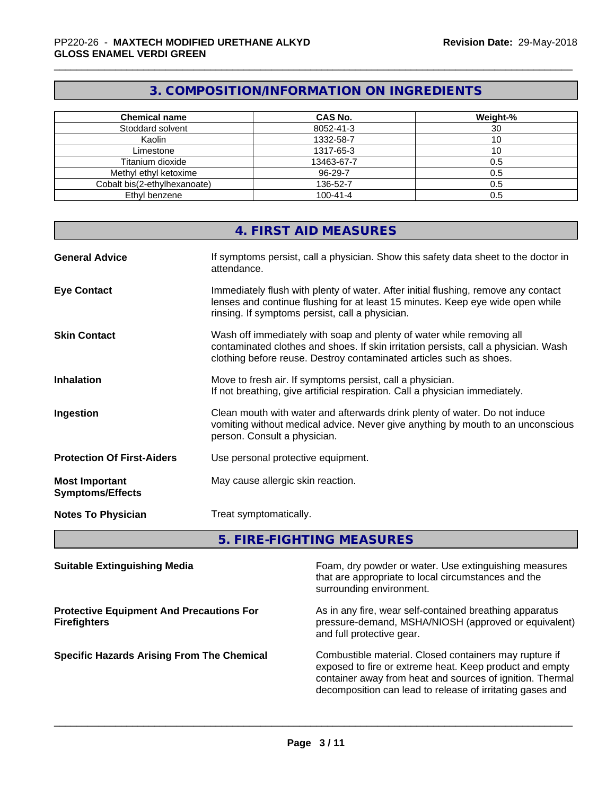# **3. COMPOSITION/INFORMATION ON INGREDIENTS**

| <b>Chemical name</b>         | <b>CAS No.</b> | Weight-% |
|------------------------------|----------------|----------|
| Stoddard solvent             | 8052-41-3      | 30       |
| Kaolin                       | 1332-58-7      | 10       |
| Limestone                    | 1317-65-3      | 10       |
| Titanium dioxide             | 13463-67-7     | 0.5      |
| Methyl ethyl ketoxime        | 96-29-7        | 0.5      |
| Cobalt bis(2-ethylhexanoate) | 136-52-7       | 0.5      |
| Ethyl benzene                | $100 - 41 - 4$ | 0.5      |

|                                                  | <b>4. FIRST AID MEASURES</b>                                                                                                                                                                                                        |
|--------------------------------------------------|-------------------------------------------------------------------------------------------------------------------------------------------------------------------------------------------------------------------------------------|
| <b>General Advice</b>                            | If symptoms persist, call a physician. Show this safety data sheet to the doctor in<br>attendance.                                                                                                                                  |
| <b>Eye Contact</b>                               | Immediately flush with plenty of water. After initial flushing, remove any contact<br>lenses and continue flushing for at least 15 minutes. Keep eye wide open while<br>rinsing. If symptoms persist, call a physician.             |
| <b>Skin Contact</b>                              | Wash off immediately with soap and plenty of water while removing all<br>contaminated clothes and shoes. If skin irritation persists, call a physician. Wash<br>clothing before reuse. Destroy contaminated articles such as shoes. |
| <b>Inhalation</b>                                | Move to fresh air. If symptoms persist, call a physician.<br>If not breathing, give artificial respiration. Call a physician immediately.                                                                                           |
| Ingestion                                        | Clean mouth with water and afterwards drink plenty of water. Do not induce<br>vomiting without medical advice. Never give anything by mouth to an unconscious<br>person. Consult a physician.                                       |
| <b>Protection Of First-Aiders</b>                | Use personal protective equipment.                                                                                                                                                                                                  |
| <b>Most Important</b><br><b>Symptoms/Effects</b> | May cause allergic skin reaction.                                                                                                                                                                                                   |
| <b>Notes To Physician</b>                        | Treat symptomatically.                                                                                                                                                                                                              |

**5. FIRE-FIGHTING MEASURES**

| <b>Suitable Extinguishing Media</b>                                    | Foam, dry powder or water. Use extinguishing measures<br>that are appropriate to local circumstances and the<br>surrounding environment.                                                                                                    |
|------------------------------------------------------------------------|---------------------------------------------------------------------------------------------------------------------------------------------------------------------------------------------------------------------------------------------|
| <b>Protective Equipment And Precautions For</b><br><b>Firefighters</b> | As in any fire, wear self-contained breathing apparatus<br>pressure-demand, MSHA/NIOSH (approved or equivalent)<br>and full protective gear.                                                                                                |
| <b>Specific Hazards Arising From The Chemical</b>                      | Combustible material. Closed containers may rupture if<br>exposed to fire or extreme heat. Keep product and empty<br>container away from heat and sources of ignition. Thermal<br>decomposition can lead to release of irritating gases and |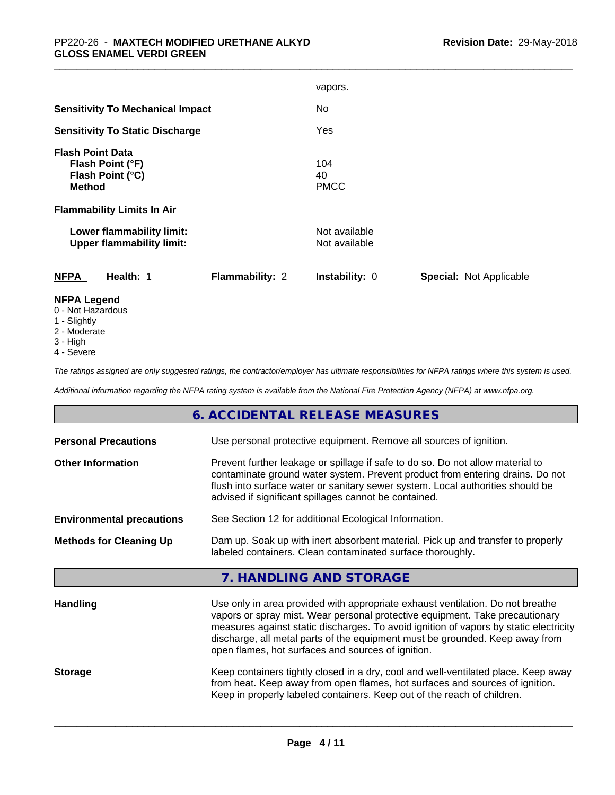|                                                                                  | vapors.                                                 |
|----------------------------------------------------------------------------------|---------------------------------------------------------|
| <b>Sensitivity To Mechanical Impact</b>                                          | No                                                      |
| <b>Sensitivity To Static Discharge</b>                                           | Yes                                                     |
| <b>Flash Point Data</b><br>Flash Point (°F)<br>Flash Point (°C)<br><b>Method</b> | 104<br>40<br><b>PMCC</b>                                |
| <b>Flammability Limits In Air</b>                                                |                                                         |
| Lower flammability limit:<br><b>Upper flammability limit:</b>                    | Not available<br>Not available                          |
| <b>NFPA</b><br>Flammability: 2<br>Health: 1                                      | <b>Instability: 0</b><br><b>Special: Not Applicable</b> |
| <b>NFPA Legend</b>                                                               |                                                         |

- 0 Not Hazardous
- 1 Slightly
- 2 Moderate
- 3 High
- 4 Severe

*The ratings assigned are only suggested ratings, the contractor/employer has ultimate responsibilities for NFPA ratings where this system is used.*

*Additional information regarding the NFPA rating system is available from the National Fire Protection Agency (NFPA) at www.nfpa.org.*

# **6. ACCIDENTAL RELEASE MEASURES**

| <b>Personal Precautions</b>      | Use personal protective equipment. Remove all sources of ignition.                                                                                                                                                                                                                                                                                                                            |  |
|----------------------------------|-----------------------------------------------------------------------------------------------------------------------------------------------------------------------------------------------------------------------------------------------------------------------------------------------------------------------------------------------------------------------------------------------|--|
| <b>Other Information</b>         | Prevent further leakage or spillage if safe to do so. Do not allow material to<br>contaminate ground water system. Prevent product from entering drains. Do not<br>flush into surface water or sanitary sewer system. Local authorities should be<br>advised if significant spillages cannot be contained.                                                                                    |  |
| <b>Environmental precautions</b> | See Section 12 for additional Ecological Information.                                                                                                                                                                                                                                                                                                                                         |  |
| <b>Methods for Cleaning Up</b>   | Dam up. Soak up with inert absorbent material. Pick up and transfer to properly<br>labeled containers. Clean contaminated surface thoroughly.                                                                                                                                                                                                                                                 |  |
|                                  | 7. HANDLING AND STORAGE                                                                                                                                                                                                                                                                                                                                                                       |  |
| <b>Handling</b>                  | Use only in area provided with appropriate exhaust ventilation. Do not breathe<br>vapors or spray mist. Wear personal protective equipment. Take precautionary<br>measures against static discharges. To avoid ignition of vapors by static electricity<br>discharge, all metal parts of the equipment must be grounded. Keep away from<br>open flames, hot surfaces and sources of ignition. |  |
| <b>Storage</b>                   | Keep containers tightly closed in a dry, cool and well-ventilated place. Keep away<br>from heat. Keep away from open flames, hot surfaces and sources of ignition.<br>Keep in properly labeled containers. Keep out of the reach of children.                                                                                                                                                 |  |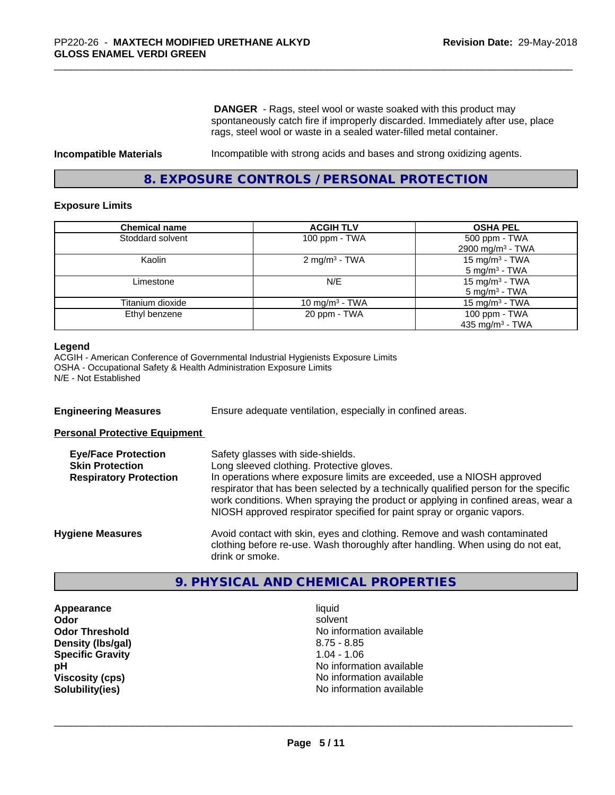**DANGER** - Rags, steel wool or waste soaked with this product may spontaneously catch fire if improperly discarded. Immediately after use, place rags, steel wool or waste in a sealed water-filled metal container.

**Incompatible Materials** Incompatible with strong acids and bases and strong oxidizing agents.

# **8. EXPOSURE CONTROLS / PERSONAL PROTECTION**

#### **Exposure Limits**

| <b>Chemical name</b> | <b>ACGIH TLV</b>         | <b>OSHA PEL</b>                                         |
|----------------------|--------------------------|---------------------------------------------------------|
| Stoddard solvent     | 100 ppm - TWA            | 500 ppm - TWA<br>2900 mg/m <sup>3</sup> - TWA           |
| Kaolin               | $2 \text{ mg/m}^3$ - TWA | 15 mg/m <sup>3</sup> - TWA<br>5 mg/m <sup>3</sup> - TWA |
| Limestone            | N/E                      | 15 mg/m $3$ - TWA<br>5 mg/m <sup>3</sup> - TWA          |
| Titanium dioxide     | 10 mg/m $3$ - TWA        | 15 mg/m $3$ - TWA                                       |
| Ethyl benzene        | 20 ppm - TWA             | 100 ppm - TWA<br>435 mg/m <sup>3</sup> - TWA            |

#### **Legend**

ACGIH - American Conference of Governmental Industrial Hygienists Exposure Limits OSHA - Occupational Safety & Health Administration Exposure Limits N/E - Not Established

**Engineering Measures** Ensure adequate ventilation, especially in confined areas.

**Personal Protective Equipment**

| <b>Eye/Face Protection</b><br><b>Skin Protection</b><br><b>Respiratory Protection</b> | Safety glasses with side-shields.<br>Long sleeved clothing. Protective gloves.<br>In operations where exposure limits are exceeded, use a NIOSH approved<br>respirator that has been selected by a technically qualified person for the specific<br>work conditions. When spraying the product or applying in confined areas, wear a<br>NIOSH approved respirator specified for paint spray or organic vapors. |
|---------------------------------------------------------------------------------------|----------------------------------------------------------------------------------------------------------------------------------------------------------------------------------------------------------------------------------------------------------------------------------------------------------------------------------------------------------------------------------------------------------------|
| <b>Hygiene Measures</b>                                                               | Avoid contact with skin, eyes and clothing. Remove and wash contaminated<br>clothing before re-use. Wash thoroughly after handling. When using do not eat,<br>drink or smoke.                                                                                                                                                                                                                                  |

# **9. PHYSICAL AND CHEMICAL PROPERTIES**

**Appearance** liquid **Density (Ibs/gal)** 8.75 - 8.85 **Specific Gravity** 1.04 - 1.06

**Odor** solvent **Odor Threshold** No information available **pH** No information available **Viscosity (cps)** No information available **Solubility(ies)** No information available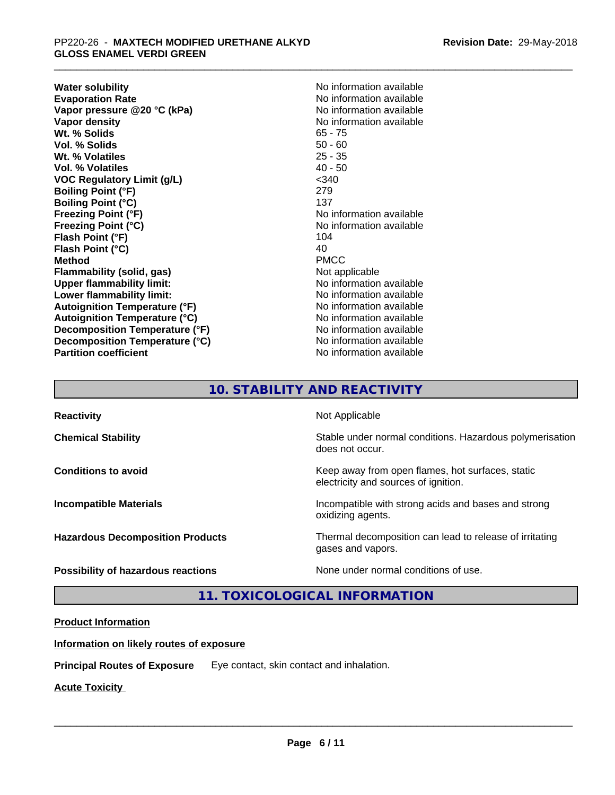**Water solubility**<br> **Evaporation Rate**<br> **Evaporation Rate**<br> **Evaporation Rate Vapor** pressure @20 °C (kPa) **Vapor density**<br> **We Solids**<br>
We Solid Wit, % Solids
and Notice 25 and Notice 25 and Note 265 - 75 Wt. % Solids **Vol. % Solids** 50 - 60 **Wt. % Volatiles** 25 - 35 **Vol. % Volatiles** 40 - 50 **VOC Regulatory Limit (g/L)** <340 **Boiling Point (°F)** 279 **Boiling Point (°C)** 137 **Freezing Point (°F)** No information available **Freezing Point (°C)**<br> **Flash Point (°F)**<br> **Flash Point (°F)**<br> **Point (°F)**<br> **Point (°F)**<br> **Point (°F)**<br> **Point (°F) Flash Point (°F) Flash Point (°C)** 40 **Method** PMCC **Flammability (solid, gas)** Not applicable **Upper flammability limit:** No information available **Lower flammability limit:** No information available **Autoignition Temperature (°F)** No information available **Autoignition Temperature (°C)** No information available **Decomposition Temperature (°F)** No information available **Decomposition Temperature (°C)** No information available **Partition coefficient** No information available

No information available<br>No information available

# **10. STABILITY AND REACTIVITY**

| <b>Reactivity</b>                       | Not Applicable                                                                           |
|-----------------------------------------|------------------------------------------------------------------------------------------|
| <b>Chemical Stability</b>               | Stable under normal conditions. Hazardous polymerisation<br>does not occur.              |
| <b>Conditions to avoid</b>              | Keep away from open flames, hot surfaces, static<br>electricity and sources of ignition. |
| <b>Incompatible Materials</b>           | Incompatible with strong acids and bases and strong<br>oxidizing agents.                 |
| <b>Hazardous Decomposition Products</b> | Thermal decomposition can lead to release of irritating<br>gases and vapors.             |
| Possibility of hazardous reactions      | None under normal conditions of use.                                                     |

**11. TOXICOLOGICAL INFORMATION**

# **Product Information**

# **Information on likely routes of exposure**

**Principal Routes of Exposure** Eye contact, skin contact and inhalation.

**Acute Toxicity**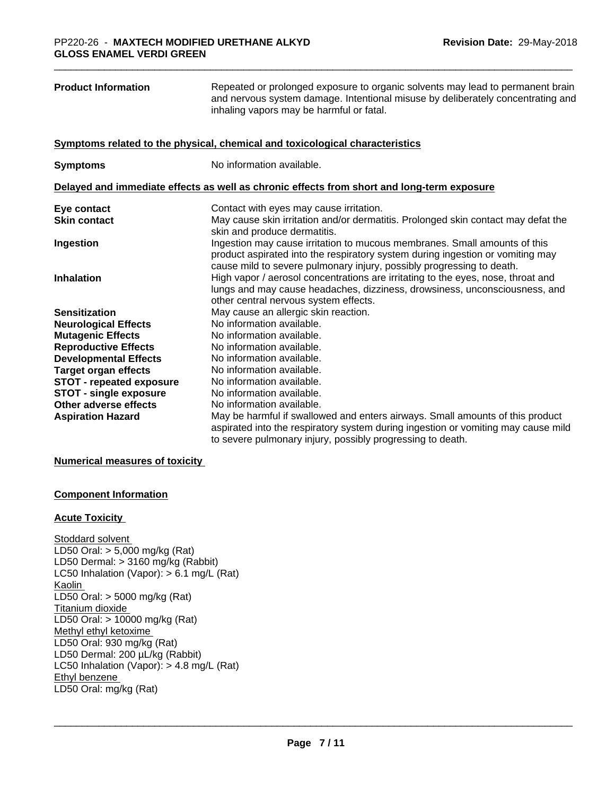| <b>Product Information</b>      | Repeated or prolonged exposure to organic solvents may lead to permanent brain<br>and nervous system damage. Intentional misuse by deliberately concentrating and<br>inhaling vapors may be harmful or fatal.                        |
|---------------------------------|--------------------------------------------------------------------------------------------------------------------------------------------------------------------------------------------------------------------------------------|
|                                 | Symptoms related to the physical, chemical and toxicological characteristics                                                                                                                                                         |
| <b>Symptoms</b>                 | No information available.                                                                                                                                                                                                            |
|                                 | Delayed and immediate effects as well as chronic effects from short and long-term exposure                                                                                                                                           |
| Eye contact                     | Contact with eyes may cause irritation.                                                                                                                                                                                              |
| <b>Skin contact</b>             | May cause skin irritation and/or dermatitis. Prolonged skin contact may defat the<br>skin and produce dermatitis.                                                                                                                    |
| Ingestion                       | Ingestion may cause irritation to mucous membranes. Small amounts of this<br>product aspirated into the respiratory system during ingestion or vomiting may<br>cause mild to severe pulmonary injury, possibly progressing to death. |
| <b>Inhalation</b>               | High vapor / aerosol concentrations are irritating to the eyes, nose, throat and<br>lungs and may cause headaches, dizziness, drowsiness, unconsciousness, and<br>other central nervous system effects.                              |
| <b>Sensitization</b>            | May cause an allergic skin reaction.                                                                                                                                                                                                 |
| <b>Neurological Effects</b>     | No information available.                                                                                                                                                                                                            |
| <b>Mutagenic Effects</b>        | No information available.                                                                                                                                                                                                            |
| <b>Reproductive Effects</b>     | No information available.                                                                                                                                                                                                            |
| <b>Developmental Effects</b>    | No information available.                                                                                                                                                                                                            |
| <b>Target organ effects</b>     | No information available.                                                                                                                                                                                                            |
| <b>STOT - repeated exposure</b> | No information available.                                                                                                                                                                                                            |
| <b>STOT - single exposure</b>   | No information available.                                                                                                                                                                                                            |
| Other adverse effects           | No information available.                                                                                                                                                                                                            |
| <b>Aspiration Hazard</b>        | May be harmful if swallowed and enters airways. Small amounts of this product<br>aspirated into the respiratory system during ingestion or vomiting may cause mild<br>to severe pulmonary injury, possibly progressing to death.     |

#### **Numerical measures of toxicity**

# **Component Information**

#### **Acute Toxicity**

Stoddard solvent LD50 Oral: > 5,000 mg/kg (Rat) LD50 Dermal: > 3160 mg/kg (Rabbit) LC50 Inhalation (Vapor): > 6.1 mg/L (Rat) Kaolin LD50 Oral: > 5000 mg/kg (Rat) Titanium dioxide LD50 Oral: > 10000 mg/kg (Rat) Methyl ethyl ketoxime LD50 Oral: 930 mg/kg (Rat) LD50 Dermal: 200 µL/kg (Rabbit) LC50 Inhalation (Vapor): > 4.8 mg/L (Rat) Ethyl benzene \_\_\_\_\_\_\_\_\_\_\_\_\_\_\_\_\_\_\_\_\_\_\_\_\_\_\_\_\_\_\_\_\_\_\_\_\_\_\_\_\_\_\_\_\_\_\_\_\_\_\_\_\_\_\_\_\_\_\_\_\_\_\_\_\_\_\_\_\_\_\_\_\_\_\_\_\_\_\_\_\_\_\_\_\_\_\_\_\_\_\_\_\_ LD50 Oral: mg/kg (Rat)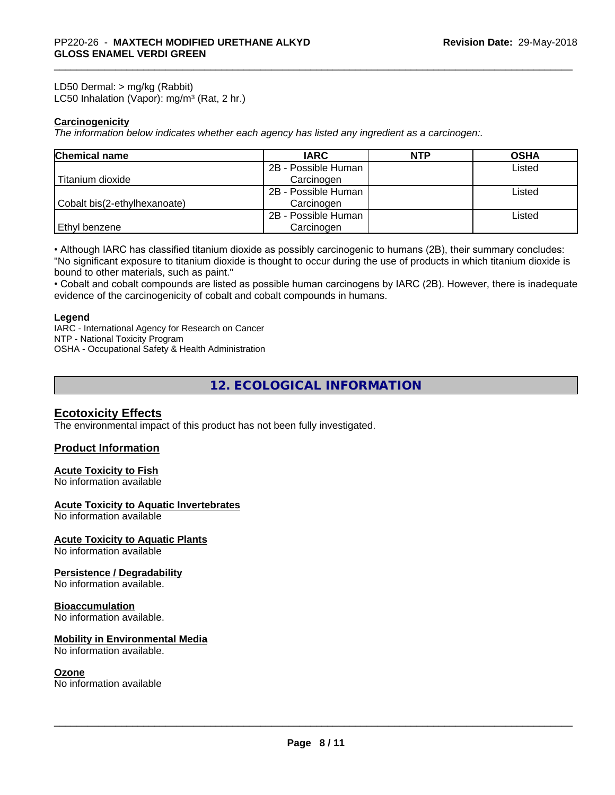LD50 Dermal: > mg/kg (Rabbit) LC50 Inhalation (Vapor): mg/m<sup>3</sup> (Rat, 2 hr.)

## **Carcinogenicity**

*The information below indicateswhether each agency has listed any ingredient as a carcinogen:.*

| <b>Chemical name</b>         | <b>IARC</b>         | <b>NTP</b> | <b>OSHA</b> |
|------------------------------|---------------------|------------|-------------|
|                              | 2B - Possible Human |            | Listed      |
| Titanium dioxide             | Carcinogen          |            |             |
|                              | 2B - Possible Human |            | Listed      |
| Cobalt bis(2-ethylhexanoate) | Carcinogen          |            |             |
|                              | 2B - Possible Human |            | Listed      |
| Ethyl benzene                | Carcinogen          |            |             |

• Although IARC has classified titanium dioxide as possibly carcinogenic to humans (2B), their summary concludes: "No significant exposure to titanium dioxide is thought to occur during the use of products in which titanium dioxide is bound to other materials, such as paint."

• Cobalt and cobalt compounds are listed as possible human carcinogens by IARC (2B). However, there is inadequate evidence of the carcinogenicity of cobalt and cobalt compounds in humans.

#### **Legend**

IARC - International Agency for Research on Cancer NTP - National Toxicity Program OSHA - Occupational Safety & Health Administration

# **12. ECOLOGICAL INFORMATION**

# **Ecotoxicity Effects**

The environmental impact of this product has not been fully investigated.

# **Product Information**

### **Acute Toxicity to Fish**

No information available

#### **Acute Toxicity to Aquatic Invertebrates**

No information available

## **Acute Toxicity to Aquatic Plants**

No information available

#### **Persistence / Degradability**

No information available.

#### **Bioaccumulation**

No information available.

#### **Mobility in Environmental Media**

No information available.

#### **Ozone**

No information available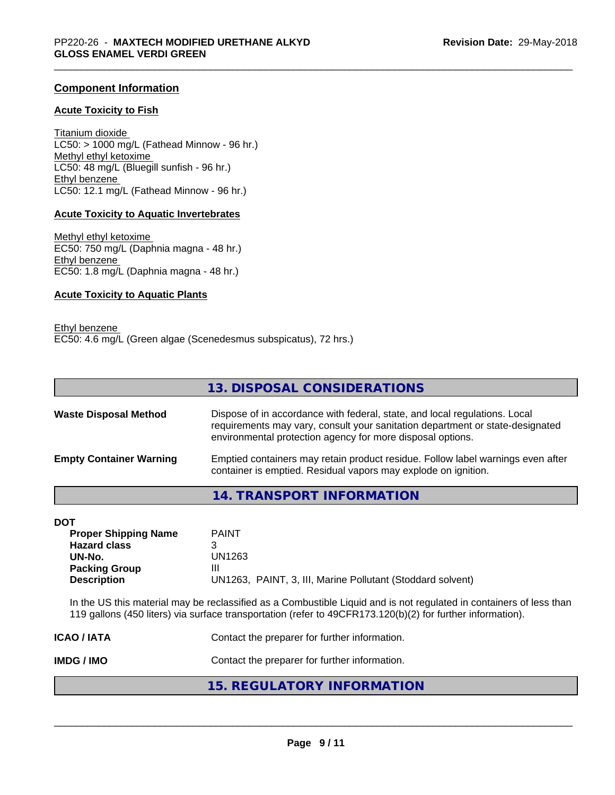# **Component Information**

#### **Acute Toxicity to Fish**

Titanium dioxide  $LC50:$  > 1000 mg/L (Fathead Minnow - 96 hr.) Methyl ethyl ketoxime LC50: 48 mg/L (Bluegill sunfish - 96 hr.) Ethyl benzene LC50: 12.1 mg/L (Fathead Minnow - 96 hr.)

#### **Acute Toxicity to Aquatic Invertebrates**

Methyl ethyl ketoxime EC50: 750 mg/L (Daphnia magna - 48 hr.) Ethyl benzene EC50: 1.8 mg/L (Daphnia magna - 48 hr.)

#### **Acute Toxicity to Aquatic Plants**

Ethyl benzene EC50: 4.6 mg/L (Green algae (Scenedesmus subspicatus), 72 hrs.)

|                                | 13. DISPOSAL CONSIDERATIONS                                                                                                                                                                                               |
|--------------------------------|---------------------------------------------------------------------------------------------------------------------------------------------------------------------------------------------------------------------------|
| <b>Waste Disposal Method</b>   | Dispose of in accordance with federal, state, and local regulations. Local<br>requirements may vary, consult your sanitation department or state-designated<br>environmental protection agency for more disposal options. |
| <b>Empty Container Warning</b> | Emptied containers may retain product residue. Follow label warnings even after<br>container is emptied. Residual vapors may explode on ignition.                                                                         |

**14. TRANSPORT INFORMATION**

| <b>DOT</b>                  |                                                            |
|-----------------------------|------------------------------------------------------------|
| <b>Proper Shipping Name</b> | <b>PAINT</b>                                               |
| <b>Hazard class</b>         |                                                            |
| UN-No.                      | UN1263                                                     |
| <b>Packing Group</b>        | Ш                                                          |
| <b>Description</b>          | UN1263, PAINT, 3, III, Marine Pollutant (Stoddard solvent) |

In the US this material may be reclassified as a Combustible Liquid and is not regulated in containers of less than 119 gallons (450 liters) via surface transportation (refer to 49CFR173.120(b)(2) for further information).

| IMDG / IMO       | Contact the preparer for further information. |
|------------------|-----------------------------------------------|
| <b>ICAO/IATA</b> | Contact the preparer for further information. |

# **15. REGULATORY INFORMATION**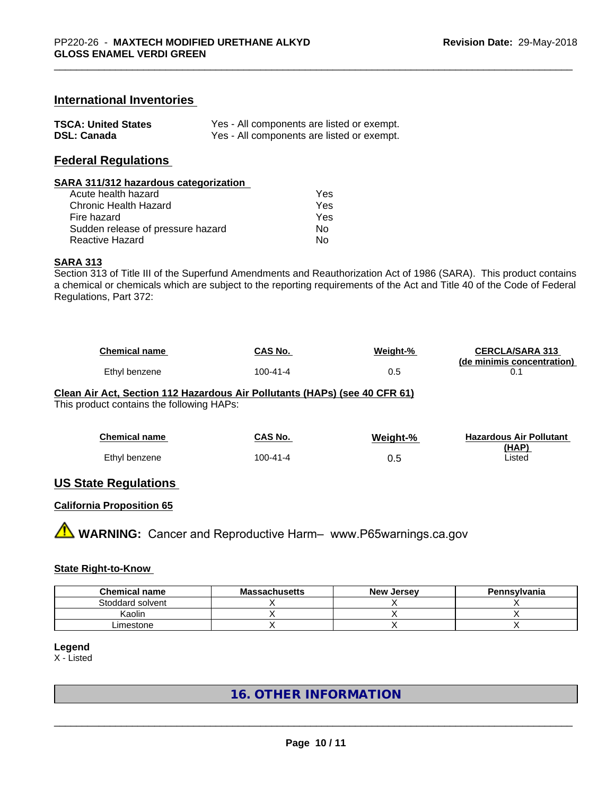## **International Inventories**

| <b>TSCA: United States</b> | Yes - All components are listed or exempt. |
|----------------------------|--------------------------------------------|
| <b>DSL: Canada</b>         | Yes - All components are listed or exempt. |

# **Federal Regulations**

#### **SARA 311/312 hazardous categorization**

| Acute health hazard               | Yes |  |
|-----------------------------------|-----|--|
| Chronic Health Hazard             | Yes |  |
| Fire hazard                       | Yes |  |
| Sudden release of pressure hazard | Nο  |  |
| Reactive Hazard                   | N٥  |  |

#### **SARA 313**

Section 313 of Title III of the Superfund Amendments and Reauthorization Act of 1986 (SARA). This product contains a chemical or chemicals which are subject to the reporting requirements of the Act and Title 40 of the Code of Federal Regulations, Part 372:

| <b>Chemical name</b> | CAS No.  | Weight-% | <b>CERCLA/SARA 313</b>     |
|----------------------|----------|----------|----------------------------|
|                      |          |          | (de minimis concentration) |
| Ethyl benzene        | 100-41-4 | ∪.⊾      |                            |

#### **Clean Air Act,Section 112 Hazardous Air Pollutants (HAPs) (see 40 CFR 61)**

This product contains the following HAPs:

| <b>Chemical name</b> | CAS No.        | Weight-% | <b>Hazardous Air Pollutant</b> |
|----------------------|----------------|----------|--------------------------------|
| Ethyl benzene        | $100 - 41 - 4$ | 0.5      | (HAP)<br>Listed                |
|                      |                |          |                                |

### **US State Regulations**

## **California Proposition 65**

**AN** WARNING: Cancer and Reproductive Harm– www.P65warnings.ca.gov

## **State Right-to-Know**

| <b>Chemical name</b> | <b>Massachusetts</b> | <b>New Jersey</b> | Pennsylvania |
|----------------------|----------------------|-------------------|--------------|
| Stoddard solvent     |                      |                   |              |
| Kaolin               |                      |                   |              |
| _imestone            |                      |                   |              |

# **Legend**

X - Listed

# **16. OTHER INFORMATION**